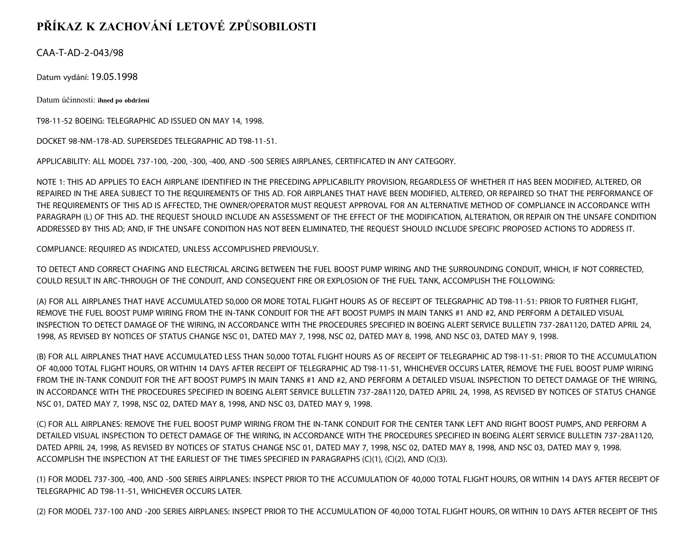## **PŘÍKAZ K ZACHOVÁNÍ LETOVÉ ZPŮSOBILOSTI**

CAA-T-AD-2-043/98

Datum vydání: 19.05.1998

Datum účinnosti: **ihned po obdržení**

T98-11-52 BOEING: TELEGRAPHIC AD ISSUED ON MAY 14, 1998.

DOCKET 98-NM-178-AD. SUPERSEDES TELEGRAPHIC AD T98-11-51.

APPLICABILITY: ALL MODEL 737-100, -200, -300, -400, AND -500 SERIES AIRPLANES, CERTIFICATED IN ANY CATEGORY.

NOTE 1: THIS AD APPLIES TO EACH AIRPLANE IDENTIFIED IN THE PRECEDING APPLICABILITY PROVISION, REGARDLESS OF WHETHER IT HAS BEEN MODIFIED, ALTERED, OR REPAIRED IN THE AREA SUBJECT TO THE REQUIREMENTS OF THIS AD. FOR AIRPLANES THAT HAVE BEEN MODIFIED, ALTERED, OR REPAIRED SO THAT THE PERFORMANCE OF THE REQUIREMENTS OF THIS AD IS AFFECTED, THE OWNER/OPERATOR MUST REQUEST APPROVAL FOR AN ALTERNATIVE METHOD OF COMPLIANCE IN ACCORDANCE WITH PARAGRAPH (L) OF THIS AD. THE REQUEST SHOULD INCLUDE AN ASSESSMENT OF THE EFFECT OF THE MODIFICATION, ALTERATION, OR REPAIR ON THE UNSAFE CONDITION ADDRESSED BY THIS AD; AND, IF THE UNSAFE CONDITION HAS NOT BEEN ELIMINATED, THE REQUEST SHOULD INCLUDE SPECIFIC PROPOSED ACTIONS TO ADDRESS IT.

COMPLIANCE: REQUIRED AS INDICATED, UNLESS ACCOMPLISHED PREVIOUSLY.

TO DETECT AND CORRECT CHAFING AND ELECTRICAL ARCING BETWEEN THE FUEL BOOST PUMP WIRING AND THE SURROUNDING CONDUIT, WHICH, IF NOT CORRECTED, COULD RESULT IN ARC-THROUGH OF THE CONDUIT, AND CONSEQUENT FIRE OR EXPLOSION OF THE FUEL TANK, ACCOMPLISH THE FOLLOWING:

(A) FOR ALL AIRPLANES THAT HAVE ACCUMULATED 50,000 OR MORE TOTAL FLIGHT HOURS AS OF RECEIPT OF TELEGRAPHIC AD T98-11-51: PRIOR TO FURTHER FLIGHT, REMOVE THE FUEL BOOST PUMP WIRING FROM THE IN-TANK CONDUIT FOR THE AFT BOOST PUMPS IN MAIN TANKS #1 AND #2, AND PERFORM A DETAILED VISUAL INSPECTION TO DETECT DAMAGE OF THE WIRING, IN ACCORDANCE WITH THE PROCEDURES SPECIFIED IN BOEING ALERT SERVICE BULLETIN 737-28A1120, DATED APRIL 24, 1998, AS REVISED BY NOTICES OF STATUS CHANGE NSC 01, DATED MAY 7, 1998, NSC 02, DATED MAY 8, 1998, AND NSC 03, DATED MAY 9, 1998.

(B) FOR ALL AIRPLANES THAT HAVE ACCUMULATED LESS THAN 50,000 TOTAL FLIGHT HOURS AS OF RECEIPT OF TELEGRAPHIC AD T98-11-51: PRIOR TO THE ACCUMULATION OF 40,000 TOTAL FLIGHT HOURS, OR WITHIN 14 DAYS AFTER RECEIPT OF TELEGRAPHIC AD T98-11-51, WHICHEVER OCCURS LATER, REMOVE THE FUEL BOOST PUMP WIRING FROM THE IN-TANK CONDUIT FOR THE AFT BOOST PUMPS IN MAIN TANKS #1 AND #2, AND PERFORM A DETAILED VISUAL INSPECTION TO DETECT DAMAGE OF THE WIRING, IN ACCORDANCE WITH THE PROCEDURES SPECIFIED IN BOEING ALERT SERVICE BULLETIN 737-28A1120, DATED APRIL 24, 1998, AS REVISED BY NOTICES OF STATUS CHANGE NSC 01, DATED MAY 7, 1998, NSC 02, DATED MAY 8, 1998, AND NSC 03, DATED MAY 9, 1998.

(C) FOR ALL AIRPLANES: REMOVE THE FUEL BOOST PUMP WIRING FROM THE IN-TANK CONDUIT FOR THE CENTER TANK LEFT AND RIGHT BOOST PUMPS, AND PERFORM A DETAILED VISUAL INSPECTION TO DETECT DAMAGE OF THE WIRING, IN ACCORDANCE WITH THE PROCEDURES SPECIFIED IN BOEING ALERT SERVICE BULLETIN 737-28A1120, DATED APRIL 24, 1998, AS REVISED BY NOTICES OF STATUS CHANGE NSC 01, DATED MAY 7, 1998, NSC 02, DATED MAY 8, 1998, AND NSC 03, DATED MAY 9, 1998. ACCOMPLISH THE INSPECTION AT THE EARLIEST OF THE TIMES SPECIFIED IN PARAGRAPHS (C)(1), (C)(2), AND (C)(3).

(1) FOR MODEL 737-300, -400, AND -500 SERIES AIRPLANES: INSPECT PRIOR TO THE ACCUMULATION OF 40,000 TOTAL FLIGHT HOURS, OR WITHIN 14 DAYS AFTER RECEIPT OF TELEGRAPHIC AD T98-11-51, WHICHEVER OCCURS LATER.

(2) FOR MODEL 737-100 AND -200 SERIES AIRPLANES: INSPECT PRIOR TO THE ACCUMULATION OF 40,000 TOTAL FLIGHT HOURS, OR WITHIN 10 DAYS AFTER RECEIPT OF THIS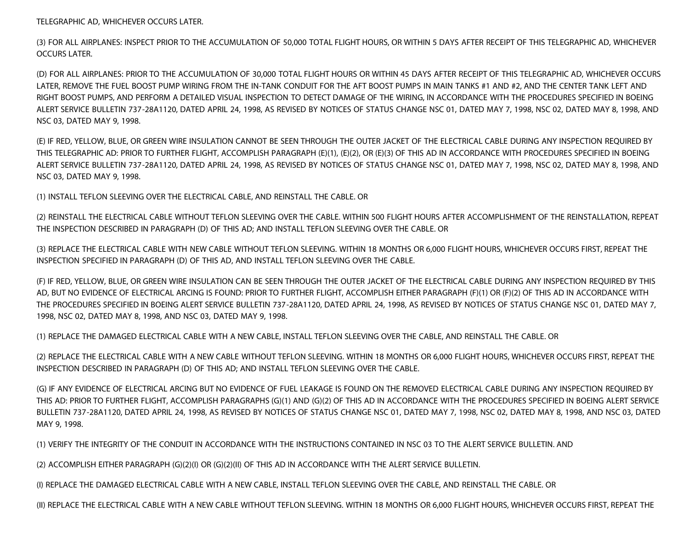TELEGRAPHIC AD, WHICHEVER OCCURS LATER.

(3) FOR ALL AIRPLANES: INSPECT PRIOR TO THE ACCUMULATION OF 50,000 TOTAL FLIGHT HOURS, OR WITHIN 5 DAYS AFTER RECEIPT OF THIS TELEGRAPHIC AD, WHICHEVER OCCURS LATER.

(D) FOR ALL AIRPLANES: PRIOR TO THE ACCUMULATION OF 30,000 TOTAL FLIGHT HOURS OR WITHIN 45 DAYS AFTER RECEIPT OF THIS TELEGRAPHIC AD, WHICHEVER OCCURS LATER, REMOVE THE FUEL BOOST PUMP WIRING FROM THE IN-TANK CONDUIT FOR THE AFT BOOST PUMPS IN MAIN TANKS #1 AND #2, AND THE CENTER TANK LEFT AND RIGHT BOOST PUMPS, AND PERFORM A DETAILED VISUAL INSPECTION TO DETECT DAMAGE OF THE WIRING, IN ACCORDANCE WITH THE PROCEDURES SPECIFIED IN BOEING ALERT SERVICE BULLETIN 737-28A1120, DATED APRIL 24, 1998, AS REVISED BY NOTICES OF STATUS CHANGE NSC 01, DATED MAY 7, 1998, NSC 02, DATED MAY 8, 1998, AND NSC 03, DATED MAY 9, 1998.

(E) IF RED, YELLOW, BLUE, OR GREEN WIRE INSULATION CANNOT BE SEEN THROUGH THE OUTER JACKET OF THE ELECTRICAL CABLE DURING ANY INSPECTION REQUIRED BY THIS TELEGRAPHIC AD: PRIOR TO FURTHER FLIGHT, ACCOMPLISH PARAGRAPH (E)(1), (E)(2), OR (E)(3) OF THIS AD IN ACCORDANCE WITH PROCEDURES SPECIFIED IN BOEING ALERT SERVICE BULLETIN 737-28A1120, DATED APRIL 24, 1998, AS REVISED BY NOTICES OF STATUS CHANGE NSC 01, DATED MAY 7, 1998, NSC 02, DATED MAY 8, 1998, AND NSC 03, DATED MAY 9, 1998.

(1) INSTALL TEFLON SLEEVING OVER THE ELECTRICAL CABLE, AND REINSTALL THE CABLE. OR

(2) REINSTALL THE ELECTRICAL CABLE WITHOUT TEFLON SLEEVING OVER THE CABLE. WITHIN 500 FLIGHT HOURS AFTER ACCOMPLISHMENT OF THE REINSTALLATION, REPEAT THE INSPECTION DESCRIBED IN PARAGRAPH (D) OF THIS AD; AND INSTALL TEFLON SLEEVING OVER THE CABLE. OR

(3) REPLACE THE ELECTRICAL CABLE WITH NEW CABLE WITHOUT TEFLON SLEEVING. WITHIN 18 MONTHS OR 6,000 FLIGHT HOURS, WHICHEVER OCCURS FIRST, REPEAT THE INSPECTION SPECIFIED IN PARAGRAPH (D) OF THIS AD, AND INSTALL TEFLON SLEEVING OVER THE CABLE.

(F) IF RED, YELLOW, BLUE, OR GREEN WIRE INSULATION CAN BE SEEN THROUGH THE OUTER JACKET OF THE ELECTRICAL CABLE DURING ANY INSPECTION REQUIRED BY THIS AD, BUT NO EVIDENCE OF ELECTRICAL ARCING IS FOUND: PRIOR TO FURTHER FLIGHT, ACCOMPLISH EITHER PARAGRAPH (F)(1) OR (F)(2) OF THIS AD IN ACCORDANCE WITH THE PROCEDURES SPECIFIED IN BOEING ALERT SERVICE BULLETIN 737-28A1120, DATED APRIL 24, 1998, AS REVISED BY NOTICES OF STATUS CHANGE NSC 01, DATED MAY 7, 1998, NSC 02, DATED MAY 8, 1998, AND NSC 03, DATED MAY 9, 1998.

(1) REPLACE THE DAMAGED ELECTRICAL CABLE WITH A NEW CABLE, INSTALL TEFLON SLEEVING OVER THE CABLE, AND REINSTALL THE CABLE. OR

(2) REPLACE THE ELECTRICAL CABLE WITH A NEW CABLE WITHOUT TEFLON SLEEVING. WITHIN 18 MONTHS OR 6,000 FLIGHT HOURS, WHICHEVER OCCURS FIRST, REPEAT THE INSPECTION DESCRIBED IN PARAGRAPH (D) OF THIS AD; AND INSTALL TEFLON SLEEVING OVER THE CABLE.

(G) IF ANY EVIDENCE OF ELECTRICAL ARCING BUT NO EVIDENCE OF FUEL LEAKAGE IS FOUND ON THE REMOVED ELECTRICAL CABLE DURING ANY INSPECTION REQUIRED BY THIS AD: PRIOR TO FURTHER FLIGHT, ACCOMPLISH PARAGRAPHS (G)(1) AND (G)(2) OF THIS AD IN ACCORDANCE WITH THE PROCEDURES SPECIFIED IN BOEING ALERT SERVICE BULLETIN 737-28A1120, DATED APRIL 24, 1998, AS REVISED BY NOTICES OF STATUS CHANGE NSC 01, DATED MAY 7, 1998, NSC 02, DATED MAY 8, 1998, AND NSC 03, DATED MAY 9, 1998.

(1) VERIFY THE INTEGRITY OF THE CONDUIT IN ACCORDANCE WITH THE INSTRUCTIONS CONTAINED IN NSC 03 TO THE ALERT SERVICE BULLETIN. AND

(2) ACCOMPLISH EITHER PARAGRAPH (G)(2)(I) OR (G)(2)(II) OF THIS AD IN ACCORDANCE WITH THE ALERT SERVICE BULLETIN.

(I) REPLACE THE DAMAGED ELECTRICAL CABLE WITH A NEW CABLE, INSTALL TEFLON SLEEVING OVER THE CABLE, AND REINSTALL THE CABLE. OR

(II) REPLACE THE ELECTRICAL CABLE WITH A NEW CABLE WITHOUT TEFLON SLEEVING. WITHIN 18 MONTHS OR 6,000 FLIGHT HOURS, WHICHEVER OCCURS FIRST, REPEAT THE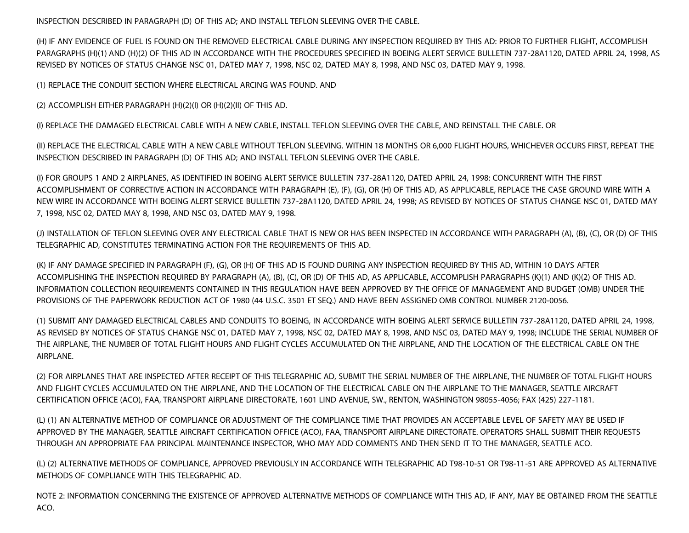INSPECTION DESCRIBED IN PARAGRAPH (D) OF THIS AD; AND INSTALL TEFLON SLEEVING OVER THE CABLE.

(H) IF ANY EVIDENCE OF FUEL IS FOUND ON THE REMOVED ELECTRICAL CABLE DURING ANY INSPECTION REQUIRED BY THIS AD: PRIOR TO FURTHER FLIGHT, ACCOMPLISH PARAGRAPHS (H)(1) AND (H)(2) OF THIS AD IN ACCORDANCE WITH THE PROCEDURES SPECIFIED IN BOEING ALERT SERVICE BULLETIN 737-28A1120, DATED APRIL 24, 1998, AS REVISED BY NOTICES OF STATUS CHANGE NSC 01, DATED MAY 7, 1998, NSC 02, DATED MAY 8, 1998, AND NSC 03, DATED MAY 9, 1998.

(1) REPLACE THE CONDUIT SECTION WHERE ELECTRICAL ARCING WAS FOUND. AND

(2) ACCOMPLISH EITHER PARAGRAPH (H)(2)(I) OR (H)(2)(II) OF THIS AD.

(I) REPLACE THE DAMAGED ELECTRICAL CABLE WITH A NEW CABLE, INSTALL TEFLON SLEEVING OVER THE CABLE, AND REINSTALL THE CABLE. OR

(II) REPLACE THE ELECTRICAL CABLE WITH A NEW CABLE WITHOUT TEFLON SLEEVING. WITHIN 18 MONTHS OR 6,000 FLIGHT HOURS, WHICHEVER OCCURS FIRST, REPEAT THE INSPECTION DESCRIBED IN PARAGRAPH (D) OF THIS AD; AND INSTALL TEFLON SLEEVING OVER THE CABLE.

(I) FOR GROUPS 1 AND 2 AIRPLANES, AS IDENTIFIED IN BOEING ALERT SERVICE BULLETIN 737-28A1120, DATED APRIL 24, 1998: CONCURRENT WITH THE FIRST ACCOMPLISHMENT OF CORRECTIVE ACTION IN ACCORDANCE WITH PARAGRAPH (E), (F), (G), OR (H) OF THIS AD, AS APPLICABLE, REPLACE THE CASE GROUND WIRE WITH A NEW WIRE IN ACCORDANCE WITH BOEING ALERT SERVICE BULLETIN 737-28A1120, DATED APRIL 24, 1998; AS REVISED BY NOTICES OF STATUS CHANGE NSC 01, DATED MAY 7, 1998, NSC 02, DATED MAY 8, 1998, AND NSC 03, DATED MAY 9, 1998.

(J) INSTALLATION OF TEFLON SLEEVING OVER ANY ELECTRICAL CABLE THAT IS NEW OR HAS BEEN INSPECTED IN ACCORDANCE WITH PARAGRAPH (A), (B), (C), OR (D) OF THIS TELEGRAPHIC AD, CONSTITUTES TERMINATING ACTION FOR THE REQUIREMENTS OF THIS AD.

(K) IF ANY DAMAGE SPECIFIED IN PARAGRAPH (F), (G), OR (H) OF THIS AD IS FOUND DURING ANY INSPECTION REQUIRED BY THIS AD, WITHIN 10 DAYS AFTER ACCOMPLISHING THE INSPECTION REQUIRED BY PARAGRAPH (A), (B), (C), OR (D) OF THIS AD, AS APPLICABLE, ACCOMPLISH PARAGRAPHS (K)(1) AND (K)(2) OF THIS AD. INFORMATION COLLECTION REQUIREMENTS CONTAINED IN THIS REGULATION HAVE BEEN APPROVED BY THE OFFICE OF MANAGEMENT AND BUDGET (OMB) UNDER THE PROVISIONS OF THE PAPERWORK REDUCTION ACT OF 1980 (44 U.S.C. 3501 ET SEQ.) AND HAVE BEEN ASSIGNED OMB CONTROL NUMBER 2120-0056.

(1) SUBMIT ANY DAMAGED ELECTRICAL CABLES AND CONDUITS TO BOEING, IN ACCORDANCE WITH BOEING ALERT SERVICE BULLETIN 737-28A1120, DATED APRIL 24, 1998, AS REVISED BY NOTICES OF STATUS CHANGE NSC 01, DATED MAY 7, 1998, NSC 02, DATED MAY 8, 1998, AND NSC 03, DATED MAY 9, 1998; INCLUDE THE SERIAL NUMBER OF THE AIRPLANE, THE NUMBER OF TOTAL FLIGHT HOURS AND FLIGHT CYCLES ACCUMULATED ON THE AIRPLANE, AND THE LOCATION OF THE ELECTRICAL CABLE ON THE AIRPLANE.

(2) FOR AIRPLANES THAT ARE INSPECTED AFTER RECEIPT OF THIS TELEGRAPHIC AD, SUBMIT THE SERIAL NUMBER OF THE AIRPLANE, THE NUMBER OF TOTAL FLIGHT HOURS AND FLIGHT CYCLES ACCUMULATED ON THE AIRPLANE, AND THE LOCATION OF THE ELECTRICAL CABLE ON THE AIRPLANE TO THE MANAGER, SEATTLE AIRCRAFT CERTIFICATION OFFICE (ACO), FAA, TRANSPORT AIRPLANE DIRECTORATE, 1601 LIND AVENUE, SW., RENTON, WASHINGTON 98055-4056; FAX (425) 227-1181.

(L) (1) AN ALTERNATIVE METHOD OF COMPLIANCE OR ADJUSTMENT OF THE COMPLIANCE TIME THAT PROVIDES AN ACCEPTABLE LEVEL OF SAFETY MAY BE USED IF APPROVED BY THE MANAGER, SEATTLE AIRCRAFT CERTIFICATION OFFICE (ACO), FAA, TRANSPORT AIRPLANE DIRECTORATE. OPERATORS SHALL SUBMIT THEIR REQUESTS THROUGH AN APPROPRIATE FAA PRINCIPAL MAINTENANCE INSPECTOR, WHO MAY ADD COMMENTS AND THEN SEND IT TO THE MANAGER, SEATTLE ACO.

(L) (2) ALTERNATIVE METHODS OF COMPLIANCE, APPROVED PREVIOUSLY IN ACCORDANCE WITH TELEGRAPHIC AD T98-10-51 OR T98-11-51 ARE APPROVED AS ALTERNATIVE METHODS OF COMPLIANCE WITH THIS TELEGRAPHIC AD.

NOTE 2: INFORMATION CONCERNING THE EXISTENCE OF APPROVED ALTERNATIVE METHODS OF COMPLIANCE WITH THIS AD, IF ANY, MAY BE OBTAINED FROM THE SEATTLE ACO.